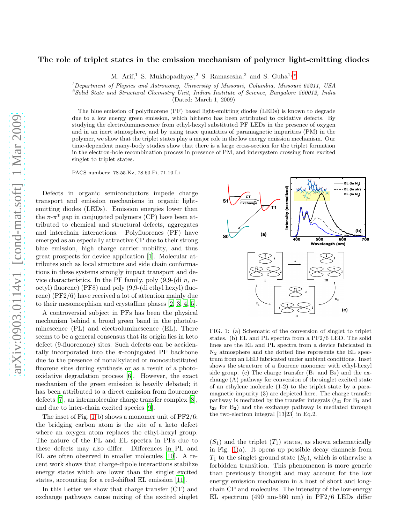## The role of triplet states in the emission mechanism of polymer light-emitting diodes

M. Arif,<sup>1</sup> S. Mukhopadhyay,<sup>2</sup> S. Ramasesha,<sup>2</sup> and S. Guha<sup>1,\*</sup>

<sup>1</sup>Department of Physics and Astronomy, University of Missouri, Columbia, Missouri 65211, USA

 $\textsuperscript{2}$ Solid State and Structural Chemistry Unit, Indian Institute of Science, Bangalore 560012, India

(Dated: March 1, 2009)

The blue emission of polyfluorene (PF) based light-emitting diodes (LEDs) is known to degrade due to a low energy green emission, which hitherto has been attributed to oxidative defects. By studying the electroluminescence from ethyl-hexyl substituted PF LEDs in the presence of oxygen and in an inert atmosphere, and by using trace quantities of paramagnetic impurities (PM) in the polymer, we show that the triplet states play a major role in the low energy emission mechanism. Our time-dependent many-body studies show that there is a large cross-section for the triplet formation in the electron-hole recombination process in presence of PM, and intersystem crossing from excited singlet to triplet states.

PACS numbers: 78.55.Kz, 78.60.Fi, 71.10.Li

Defects in organic semiconductors impede charge transport and emission mechanisms in organic lightemitting diodes (LEDs). Emission energies lower than the  $\pi$ - $\pi$ <sup>\*</sup> gap in conjugated polymers (CP) have been attributed to chemical and structural defects, aggregates and interchain interactions. Polyfluorenes (PF) have emerged as an especially attractive CP due to their strong blue emission, high charge carrier mobility, and thus great prospects for device application [\[1\]](#page-3-1). Molecular attributes such as local structure and side chain conformations in these systems strongly impact transport and device characteristics. In the PF family, poly  $(9,9-(\text{di } n, n$ octyl) fluorene) (PF8) and poly (9,9-(di ethyl hexyl) fluorene) (PF2/6) have received a lot of attention mainly due to their mesomorphism and crystalline phases [\[2,](#page-3-2) [3](#page-3-3), [4,](#page-3-4) [5\]](#page-3-5).

A controversial subject in PFs has been the physical mechanism behind a broad green band in the photoluminescence (PL) and electroluminescence (EL). There seems to be a general consensus that its origin lies in keto defect (9-fluorenone) sites. Such defects can be accidentally incorporated into the  $\pi$ -conjugated PF backbone due to the presence of nonalkylated or monosubstituted fluorene sites during synthesis or as a result of a photooxidative degradation process [\[6](#page-3-6)]. However, the exact mechanism of the green emission is heavily debated; it has been attributed to a direct emission from flourenone defects [\[7\]](#page-3-7), an intramolecular charge transfer complex [\[8\]](#page-3-8), and due to inter-chain excited species [\[9](#page-3-9)].

The inset of Fig. [1\(](#page-0-0)b) shows a monomer unit of PF2/6; the bridging carbon atom is the site of a keto defect where an oxygen atom replaces the ethyl-hexyl group. The nature of the PL and EL spectra in PFs due to these defects may also differ. Differences in PL and EL are often observed in smaller molecules [\[10](#page-3-10)]. A recent work shows that charge-dipole interactions stabilize energy states which are lower than the singlet excited states, accounting for a red-shifted EL emission [\[11](#page-3-11)].

In this Letter we show that charge transfer (CT) and exchange pathways cause mixing of the excited singlet



<span id="page-0-0"></span>FIG. 1: (a) Schematic of the conversion of singlet to triplet states. (b) EL and PL spectra from a PF2/6 LED. The solid lines are the EL and PL spectra from a device fabricated in  $N_2$  atmosphere and the dotted line represents the EL spectrum from an LED fabricated under ambient conditions. Inset shows the structure of a fluorene monomer with ethyl-hexyl side group. (c) The charge transfer  $(B_1 \text{ and } B_2)$  and the exchange (A) pathway for conversion of the singlet excited state of an ethylene molecule (1-2) to the triplet state by a paramagnetic impurity (3) are depicted here. The charge transfer pathway is mediated by the transfer integrals  $(t_{31}$  for  $B_1$  and  $t_{23}$  for  $B_2$ ) and the exchange pathway is mediated through the two-electron integral [13|23] in Eq.2.

 $(S_1)$  and the triplet  $(T_1)$  states, as shown schematically in Fig. [1\(](#page-0-0)a). It opens up possible decay channels from  $T_1$  to the singlet ground state  $(S_0)$ , which is otherwise a forbidden transition. This phenomenon is more generic than previously thought and may account for the low energy emission mechanism in a host of short and longchain CP and molecules. The intensity of the low-energy EL spectrum (490 nm-560 nm) in PF2/6 LEDs differ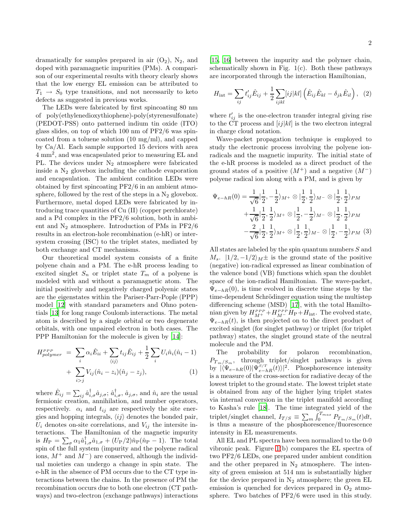dramatically for samples prepared in air  $(O_2)$ ,  $N_2$ , and doped with paramagnetic impurities (PMs). A comparison of our experimental results with theory clearly shows that the low energy EL emission can be attributed to  $T_1 \rightarrow S_0$  type transitions, and not necessarily to keto defects as suggested in previous works.

The LEDs were fabricated by first spincoating 80 nm of poly(ethylenedioxythiophene)-poly(styrenesulfonate) (PEDOT-PSS) onto patterned indium tin oxide (ITO) glass slides, on top of which 100 nm of PF2/6 was spincoated from a toluene solution (10 mg/ml), and capped by Ca/Al. Each sample supported 15 devices with area 4 mm<sup>2</sup> , and was encapsulated prior to measuring EL and PL. The devices under  $N_2$  atmosphere were fabricated inside a  $N_2$  glovebox including the cathode evaporation and encapsulation. The ambient condition LEDs were obtained by first spincoating PF2/6 in an ambient atmosphere, followed by the rest of the steps in a  $N_2$  glovebox. Furthermore, metal doped LEDs were fabricated by introducing trace quantities of Cu (II) (copper perchlorate) and a Pd complex in the PF2/6 solution, both in ambient and  $N_2$  atmosphere. Introduction of PMs in PF2/6 results in an electron-hole recombination (e-hR) or intersystem crossing (ISC) to the triplet states, mediated by both exchange and CT mechanisms.

Our theoretical model system consists of a finite polyene chain and a PM. The e-hR process leading to excited singlet  $S_n$  or triplet state  $T_m$  of a polyene is modeled with and without a paramagnetic atom. The initial positively and negatively charged polyenic states are the eigenstates within the Pariser-Parr-Pople (PPP) model [\[12](#page-3-12)] with standard parameters and Ohno potentials [\[13\]](#page-3-13) for long range Coulomb interactions. The metal atom is described by a single orbital or two degenerate orbitals, with one unpaired electron in both cases. The PPP Hamiltonian for the molecule is given by [\[14\]](#page-3-14):

$$
H_{polymer}^{PPP} = \sum_{i} \alpha_{i} \hat{E}_{ii} + \sum_{\langle ij \rangle} t_{ij} \hat{E}_{ij} + \frac{1}{2} \sum_{i} U_{i} \hat{n}_{i} (\hat{n}_{i} - 1) + \sum_{i > j} V_{ij} (\hat{n}_{i} - z_{i}) (\hat{n}_{j} - z_{j}),
$$
\n(1)

where  $\hat{E}_{ij} = \sum_{ij} \hat{a}_{i,\sigma}^{\dagger} \hat{a}_{j,\sigma}$ ;  $\hat{a}_{i,\sigma}^{\dagger}$ ,  $\hat{a}_{j,\sigma}$ , and  $\hat{n}_i$  are the usual fermionic creation, annihilation, and number operators, respectively.  $\alpha_i$  and  $t_{ij}$  are respectively the site energies and hopping integrals,  $\langle ij \rangle$  denotes the bonded pair,  $U_i$  denotes on-site correlations, and  $V_{ij}$  the intersite interactions. The Hamiltonian of the magnetic impurity is  $H_P = \sum_{\sigma} \alpha_1 \hat{a}_{1,\sigma}^{\dagger} \hat{a}_{1,\sigma} + (U_P/2)\hat{n}_P(\hat{n}_P - 1)$ . The total spin of the full system (impurity and the polyene radical ions,  $M^+$  and  $M^-$ ) are conserved, although the individual moieties can undergo a change in spin state. The e-hR in the absence of PM occurs due to the CT type interactions between the chains. In the presence of PM the recombination occurs due to both one electron (CT pathways) and two-electron (exchange pathways) interactions

[\[15,](#page-3-15) [16\]](#page-3-16) between the impurity and the polymer chain, schematically shown in Fig.  $1(c)$ . Both these pathways are incorporated through the interaction Hamiltonian,

$$
H_{\rm int} = \sum_{ij} t'_{ij} \hat{E}_{ij} + \frac{1}{2} \sum_{ijkl} [ij|kl] \left( \hat{E}_{ij} \hat{E}_{kl} - \delta_{jk} \hat{E}_{il} \right), \tag{2}
$$

where  $t'_{ij}$  is the one-electron transfer integral giving rise to the CT process and  $[ij|kl]$  is the two electron integral in charge cloud notation.

Wave-packet propagation technique is employed to study the electronic process involving the polyene ionradicals and the magnetic impurity. The initial state of the e-hR process is modeled as a direct product of the ground states of a positive  $(M^+)$  and a negative  $(M^-)$ polyene radical ion along with a PM, and is given by

$$
\Psi_{e-hR}(0) = \frac{1}{\sqrt{6}} \left| \frac{1}{2}, -\frac{1}{2} \right\rangle_{M^{+}} \otimes \left| \frac{1}{2}, \frac{1}{2} \right\rangle_{M^{-}} \otimes \left| \frac{1}{2}, \frac{1}{2} \right\rangle_{PM}
$$
  
+ 
$$
\frac{1}{\sqrt{6}} \left| \frac{1}{2}, \frac{1}{2} \right\rangle_{M^{+}} \otimes \left| \frac{1}{2}, -\frac{1}{2} \right\rangle_{M^{-}} \otimes \left| \frac{1}{2}, \frac{1}{2} \right\rangle_{PM}
$$
  
- 
$$
\frac{2}{\sqrt{6}} \left| \frac{1}{2}, \frac{1}{2} \right\rangle_{M^{+}} \otimes \left| \frac{1}{2}, \frac{1}{2} \right\rangle_{M^{-}} \otimes \left| \frac{1}{2}, -\frac{1}{2} \right\rangle_{PM} (3)
$$

All states are labeled by the spin quantum numbers S and  $M_s$ .  $|1/2, -1/2\rangle_M \pm$  is the ground state of the positive (negative) ion-radical expressed as linear combination of the valence bond (VB) functions which span the doublet space of the ion-radical Hamiltonian. The wave-packet,  $\Psi_{e-hR}(0)$ , is time evolved in discrete time steps by the time-dependent Schrödinger equation using the multistep differencing scheme (MSD) [\[17\]](#page-3-17), with the total Hamiltonian given by  $H_{M^+}^{PPP}+H_{M^-}^{PPP}H_P+H_{\text{int}}.$  The evolved state,  $\Psi_{e-hR}(t)$ , is then projected on to the direct product of excited singlet (for singlet pathway) or triplet (for triplet pathway) states, the singlet ground state of the neutral molecule and the PM.

The probability for polaron recombination,  $P_{T_m/S_m}$ , through triplet/singlet pathways is given by  $|\langle \Psi_{e-hR}(0) | \Psi_{e-hR}^{S/T}(t) \rangle|^2$ . Phosphorescence intensity is a measure of the cross-section for radiative decay of the lowest triplet to the ground state. The lowest triplet state is obtained from any of the higher lying triplet states via internal conversion in the triplet manifold according to Kasha's rule [\[18\]](#page-3-18). The time integrated yield of the triplet/singlet channel,  $I_{T/S} \equiv \sum_m \int_0^{T_{max}} P_{T_m/S_m}(t) dt$ , is thus a measure of the phosphorescence/fluorescence intensity in EL measurements.

All EL and PL spectra have been normalized to the 0-0 vibronic peak. Figure [1\(](#page-0-0)b) compares the EL spectra of two PF2/6 LEDs, one prepared under ambient condition and the other prepared in  $N_2$  atmosphere. The intensity of green emission at 514 nm is substantially higher for the device prepared in  $N_2$  atmosphere; the green EL emission is quenched for devices prepared in  $O_2$  atmosphere. Two batches of PF2/6 were used in this study.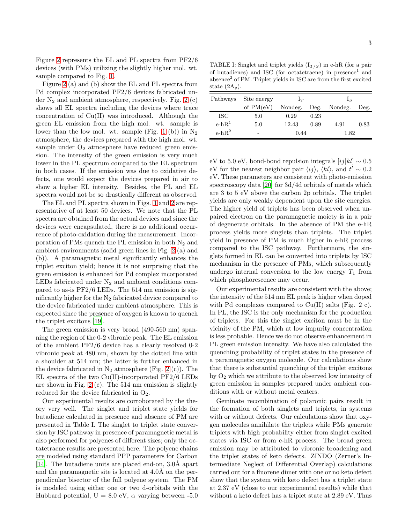Figure [2](#page-3-19) represents the EL and PL spectra from PF2/6 devices (with PMs) utilizing the slightly higher mol. wt. sample compared to Fig. [1.](#page-0-0)

Figure [2](#page-3-19) (a) and (b) show the EL and PL spectra from Pd complex incorporated PF2/6 devices fabricated under  $N_2$  and ambient atmosphere, respectively. Fig. [2](#page-3-19) (c) shows all EL spectra including the devices where trace concentration of Cu(II) was introduced. Although the green EL emission from the high mol. wt. sample is lower than the low mol. wt. sample (Fig. [1](#page-0-0) (b)) in  $N_2$ atmosphere, the devices prepared with the high mol. wt. sample under  $O_2$  atmosphere have reduced green emission. The intensity of the green emission is very much lower in the PL spectrum compared to the EL spectrum in both cases. If the emission was due to oxidative defects, one would expect the devices prepared in air to show a higher EL intensity. Besides, the PL and EL spectra would not be so drastically different as observed.

The EL and PL spectra shown in Figs. [1](#page-0-0) and [2](#page-3-19) are representative of at least 50 devices. We note that the PL spectra are obtained from the actual devices and since the devices were encapsulated, there is no additional occurrence of photo-oxidation during the measurement. Incorporation of PMs quench the PL emission in both  $N_2$  and ambient environments (solid green lines in Fig. [2](#page-3-19) (a) and (b)). A paramagnetic metal significantly enhances the triplet exciton yield; hence it is not surprising that the green emission is enhanced for Pd complex incorporated LEDs fabricated under  $N_2$  and ambient conditions compared to as-is PF2/6 LEDs. The 514 nm emission is significantly higher for the  $N_2$  fabricated device compared to the device fabricated under ambient atmosphere. This is expected since the presence of oxygen is known to quench the triplet excitons [\[19\]](#page-3-20).

The green emission is very broad (490-560 nm) spanning the region of the 0-2 vibronic peak. The EL emission of the ambient PF2/6 device has a clearly resolved 0-2 vibronic peak at 480 nm, shown by the dotted line with a shoulder at 514 nm; the latter is further enhanced in the device fabricated in  $N_2$  atmosphere (Fig. [2](#page-3-19) (c)). The EL spectra of the two Cu(II)-incorporated PF2/6 LEDs are shown in Fig. [2](#page-3-19) (c). The 514 nm emission is slightly reduced for the device fabricated in  $O_2$ .

Our experimental results are corroborated by the theory very well. The singlet and triplet state yields for butadiene calculated in presence and absence of PM are presented in Table I. The singlet to triplet state conversion by ISC pathway in presence of paramagnetic metal is also performed for polyenes of different sizes; only the octatetraene results are presented here. The polyene chains are modeled using standard PPP parameters for Carbon [\[14\]](#page-3-14). The butadiene units are placed end-on, 3.0Å apart and the paramagnetic site is located at 4.0Å on the perpendicular bisector of the full polyene system. The PM is modeled using either one or two d-orbitals with the Hubbard potential,  $U = 8.0$  eV,  $\alpha$  varying between -5.0

TABLE I: Singlet and triplet yields  $(I_{T/S})$  in e-hR (for a pair of butadienes) and ISC (for octatetraene) in presence<sup>1</sup> and absence<sup>2</sup> of PM. Triplet yields in ISC are from the first excited state  $(2A_q)$ .

| Pathways | Site energy | $\mathsf{L}\tau$ |      | $\mathbf{1}_S$ |      |
|----------|-------------|------------------|------|----------------|------|
|          | of $PM(eV)$ | Nondeg.          | Deg. | Nondeg.        | Deg. |
| ISC.     | 5.0         | 0.29             | 0.23 |                |      |
| $e-hR^1$ | 5.0         | 12.43            | 0.89 | 4.91           | 0.83 |
| $e-hR^2$ |             | 0.44             |      | 1.82           |      |

eV to 5.0 eV, bond-bond repulsion integrals  $[ij|kl] \sim 0.5$ eV for the nearest neighbor pair  $\langle ij \rangle$ ,  $\langle kl \rangle$ , and  $t' \sim 0.2$ eV. These parameters are consistent with photo-emission spectroscopy data [\[20](#page-3-21)] for 3d/4d orbitals of metals which are 3 to 5 eV above the carbon 2p orbitals. The triplet yields are only weakly dependent upon the site energies. The higher yield of triplets has been observed when unpaired electron on the paramagnetic moiety is in a pair of degenerate orbitals. In the absence of PM the e-hR process yields more singlets than triplets. The triplet yield in presence of PM is much higher in e-hR process compared to the ISC pathway. Furthermore, the singlets formed in EL can be converted into triplets by ISC mechanism in the presence of PMs, which subsequently undergo internal conversion to the low energy  $T_1$  from which phosphorescence may occur.

Our experimental results are consistent with the above; the intensity of the 514 nm EL peak is higher when doped with Pd complexes compared to  $Cu(II)$  salts (Fig. 2 c). In PL, the ISC is the only mechanism for the production of triplets. For this the singlet exciton must be in the vicinity of the PM, which at low impurity concentration is less probable. Hence we do not observe enhancement in PL green emission intensity. We have also calculated the quenching probability of triplet states in the presence of a paramagnetic oxygen molecule. Our calculations show that there is substantial quenching of the triplet excitons by  $O_2$  which we attribute to the observed low intensity of green emission in samples prepared under ambient conditions with or without metal centers.

Geminate recombination of polaronic pairs result in the formation of both singlets and triplets, in systems with or without defects. Our calculations show that oxygen molecules annihilate the triplets while PMs generate triplets with high probability either from singlet excited states via ISC or from e-hR process. The broad green emission may be attributed to vibronic broadening and the triplet states of keto defects. ZINDO (Zerner's Intermediate Neglect of Differential Overlap) calculations carried out for a fluorene dimer with one or no keto defect show that the system with keto defect has a triplet state at 2.37 eV (close to our experimental results) while that without a keto defect has a triplet state at 2.89 eV. Thus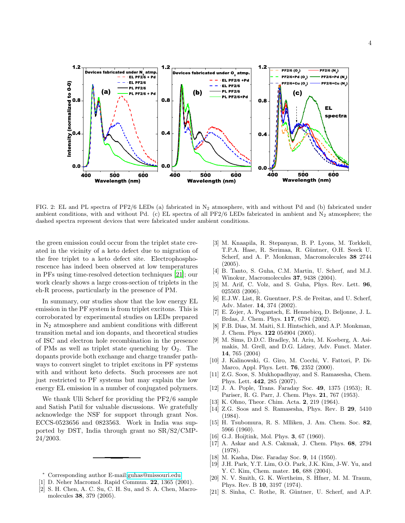

<span id="page-3-19"></span>FIG. 2: EL and PL spectra of PF2/6 LEDs (a) fabricated in  $N_2$  atmosphere, with and without Pd and (b) fabricated under ambient conditions, with and without Pd. (c) EL spectra of all PF2/6 LEDs fabricated in ambient and  $N_2$  atmosphere; the dashed spectra represent devices that were fabricated under ambient conditions.

the green emission could occur from the triplet state created in the vicinity of a keto defect due to migration of the free triplet to a keto defect site. Electrophosphorescence has indeed been observed at low temperatures in PFs using time-resolved detection techniques [\[21](#page-3-22)]; our work clearly shows a large cross-section of triplets in the eh-R process, particularly in the presence of PM.

In summary, our studies show that the low energy EL emission in the PF system is from triplet excitons. This is corroborated by experimental studies on LEDs prepared in  $N_2$  atmosphere and ambient conditions with different transition metal and ion dopants, and theoretical studies of ISC and electron hole recombination in the presence of PMs as well as triplet state quenching by  $O_2$ . The dopants provide both exchange and charge transfer pathways to convert singlet to triplet excitons in PF systems with and without keto defects. Such processes are not just restricted to PF systems but may explain the low energy EL emission in a number of conjugated polymers.

We thank Ulli Scherf for providing the PF2/6 sample and Satish Patil for valuable discussions. We gratefully acknowledge the NSF for support through grant Nos. ECCS-0523656 and 0823563. Work in India was supported by DST, India through grant no SR/S2/CMP-24/2003.

- <sup>∗</sup> Corresponding author E-mail[:guhas@missouri.edu](mailto:guhas@missouri.edu)
- <span id="page-3-1"></span><span id="page-3-0"></span>[1] D. Neher Macromol. Rapid Commun. 22, 1365 (2001).
- <span id="page-3-2"></span>[2] S. H. Chen, A. C. Su, C. H. Su, and S. A. Chen, Macromolecules 38, 379 (2005).
- <span id="page-3-3"></span>[3] M. Knaapila, R. Stepanyan, B. P. Lyons, M. Torkkeli, T.P.A. Hase, R. Serimaa, R. Güntner, O.H. Seeck U. Scherf, and A. P. Monkman, Macromolecules 38 2744 (2005).
- <span id="page-3-4"></span>[4] B. Tanto, S. Guha, C.M. Martin, U. Scherf, and M.J. Winokur, Macromolecules 37, 9438 (2004).
- <span id="page-3-5"></span>[5] M. Arif, C. Volz, and S. Guha, Phys. Rev. Lett. 96, 025503 (2006).
- <span id="page-3-6"></span>[6] E.J.W. List, R. Guentner, P.S. de Freitas, and U. Scherf, Adv. Mater. 14, 374 (2002).
- <span id="page-3-7"></span>[7] E. Zojer, A. Pogantsch, E. Hennebicq, D. Beljonne, J. L. Brdas, J. Chem. Phys. 117, 6794 (2002).
- <span id="page-3-8"></span>[8] F.B. Dias, M. Maiti, S.I. Hintschich, and A.P. Monkman, J. Chem. Phys. 122 054904 (2005).
- <span id="page-3-9"></span>[9] M. Sims, D.D.C. Bradley, M. Ariu, M. Koeberg, A. Asimakis, M. Grell, and D.G. Lidzey, Adv. Funct. Mater. 14, 765 (2004)
- <span id="page-3-10"></span>[10] J. Kalinowski, G. Giro, M. Cocchi, V. Fattori, P. Di-Marco, Appl. Phys. Lett. 76, 2352 (2000).
- <span id="page-3-11"></span>[11] Z.G. Soos, S. Mukhopadhyay, and S. Ramasesha, Chem. Phys. Lett. 442, 285 (2007).
- <span id="page-3-12"></span>[12] J. A. Pople, Trans. Faraday Soc. 49, 1375 (1953); R. Pariser, R. G. Parr, J. Chem. Phys. 21, 767 (1953).
- <span id="page-3-13"></span>[13] K. Ohno, Theor. Chim. Acta. **2**, 219 (1964).
- <span id="page-3-14"></span>[14] Z.G. Soos and S. Ramasesha, Phys. Rev. B 29, 5410 (1984).
- <span id="page-3-15"></span>[15] H. Tsubomura, R. S. Mlliken, J. Am. Chem. Soc. 82, 5966 (1960).
- <span id="page-3-16"></span>[16] G.J. Hoijtink, Mol. Phys. **3**, 67 (1960).
- <span id="page-3-17"></span>[17] A. Askar and A.S. Cakmak, J. Chem. Phys. 68, 2794 (1978).
- <span id="page-3-18"></span>[18] M. Kasha, Disc. Faraday Soc. 9, 14 (1950).
- <span id="page-3-20"></span>[19] J.H. Park, Y.T. Lim, O.O. Park, J.K. Kim, J-W. Yu, and Y. C. Kim, Chem. mater. **16**, 688 (2004).
- <span id="page-3-21"></span>[20] N. V. Smith, G. K. Wertheim, S. Hfner, M. M. Traum, Phys. Rev. B 10, 3197 (1974).
- <span id="page-3-22"></span>[21] S. Sinha, C. Rothe, R. Güntner, U. Scherf, and A.P.